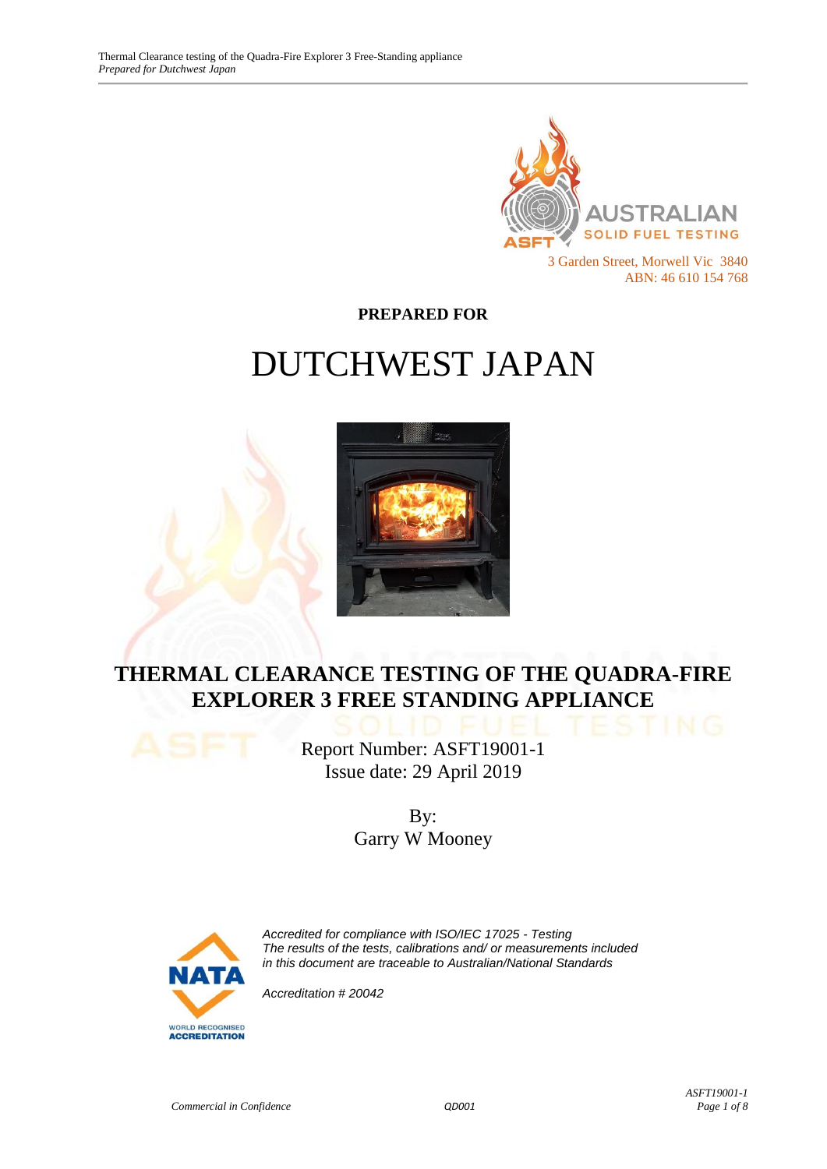

**PREPARED FOR**

# DUTCHWEST JAPAN



# **THERMAL CLEARANCE TESTING OF THE QUADRA-FIRE EXPLORER 3 FREE STANDING APPLIANCE**

Report Number: ASFT19001-1 Issue date: 29 April 2019

> By: Garry W Mooney



*Accredited for compliance with ISO/IEC 17025 - Testing The results of the tests, calibrations and/ or measurements included in this document are traceable to Australian/National Standards*

*Accreditation # 20042*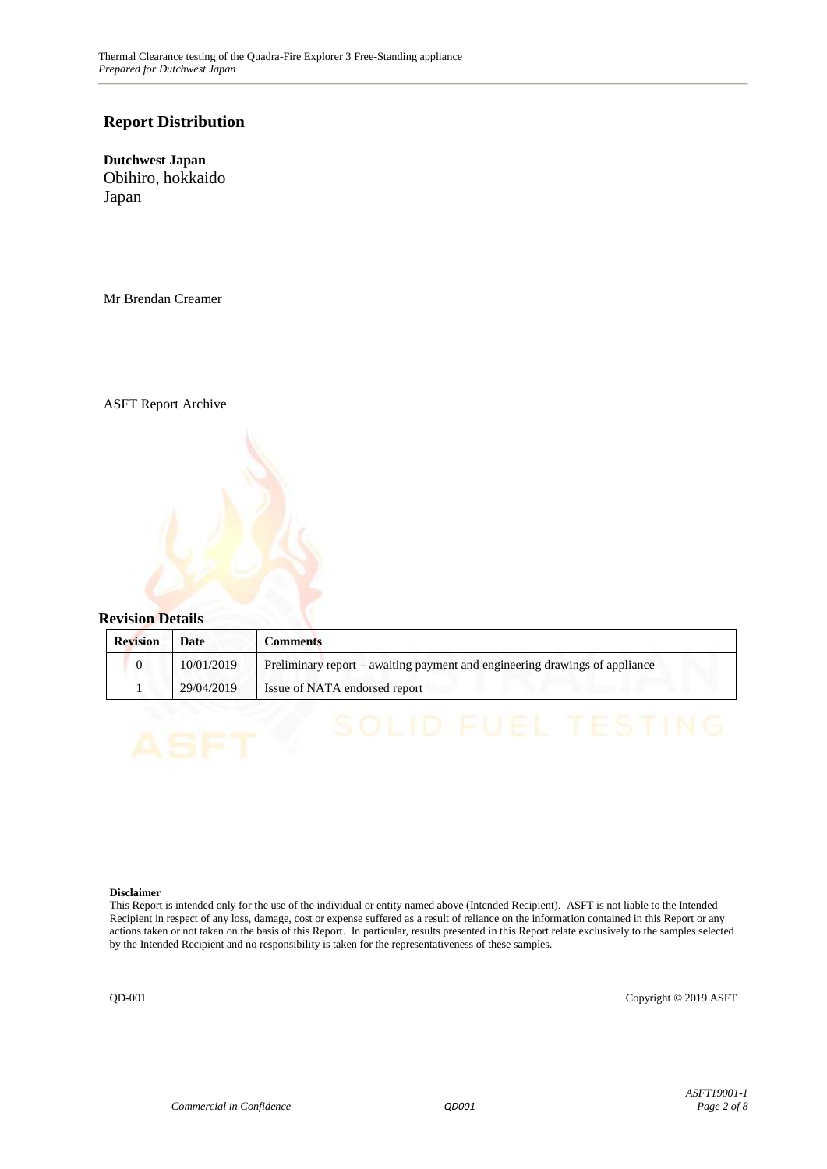#### **Report Distribution**

**Dutchwest Japan** Obihiro, hokkaido Japan

Mr Brendan Creamer

ASFT Report Archive

#### **Revision Details**

| <b>Revision</b> | Date       | <b>Comments</b>                                                             |
|-----------------|------------|-----------------------------------------------------------------------------|
|                 | 10/01/2019 | Preliminary report – awaiting payment and engineering drawings of appliance |
|                 | 29/04/2019 | Issue of NATA endorsed report                                               |

#### **Disclaimer**

This Report is intended only for the use of the individual or entity named above (Intended Recipient). ASFT is not liable to the Intended Recipient in respect of any loss, damage, cost or expense suffered as a result of reliance on the information contained in this Report or any actions taken or not taken on the basis of this Report. In particular, results presented in this Report relate exclusively to the samples selected by the Intended Recipient and no responsibility is taken for the representativeness of these samples.

QD-001 Copyright © 2019 ASFT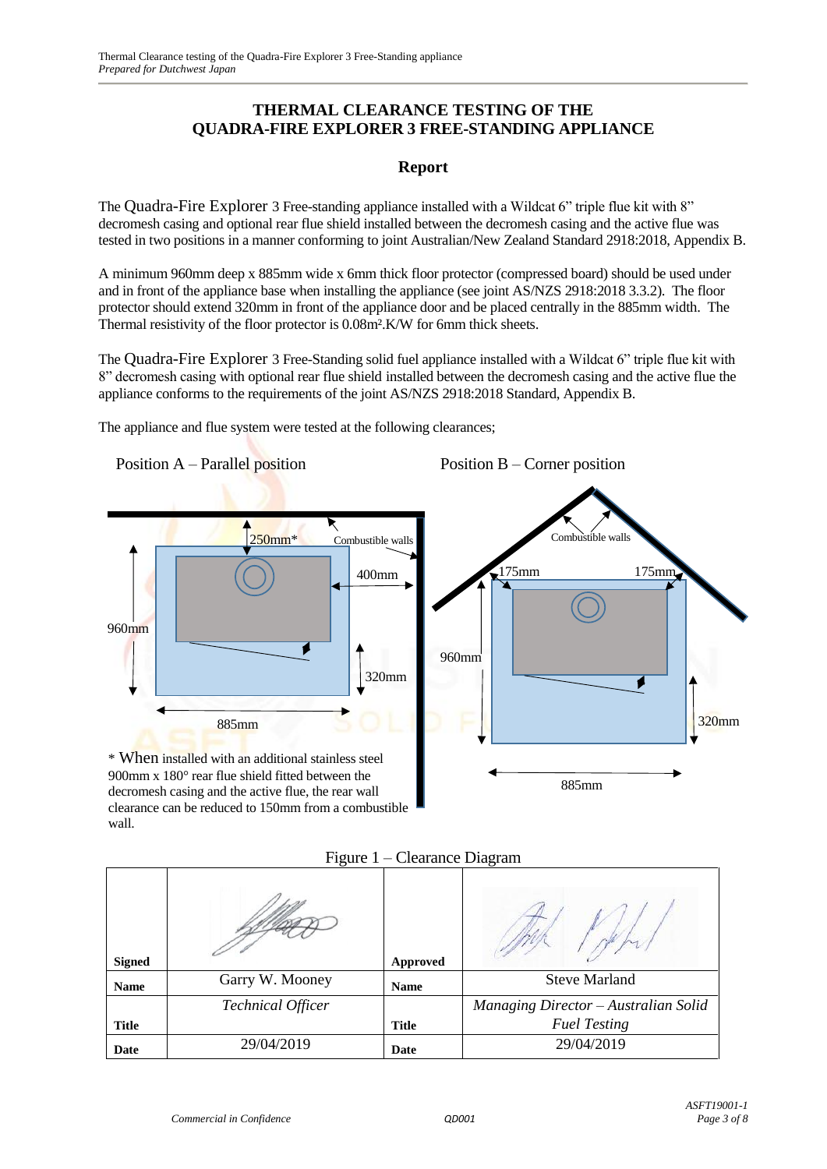#### **THERMAL CLEARANCE TESTING OF THE QUADRA-FIRE EXPLORER 3 FREE-STANDING APPLIANCE**

#### **Report**

The Quadra-Fire Explorer 3 Free-standing appliance installed with a Wildcat 6" triple flue kit with 8" decromesh casing and optional rear flue shield installed between the decromesh casing and the active flue was tested in two positions in a manner conforming to joint Australian/New Zealand Standard 2918:2018, Appendix B.

A minimum 960mm deep x 885mm wide x 6mm thick floor protector (compressed board) should be used under and in front of the appliance base when installing the appliance (see joint AS/NZS 2918:2018 3.3.2). The floor protector should extend 320mm in front of the appliance door and be placed centrally in the 885mm width. The Thermal resistivity of the floor protector is 0.08m².K/W for 6mm thick sheets.

The Quadra-Fire Explorer 3 Free-Standing solid fuel appliance installed with a Wildcat 6" triple flue kit with 8" decromesh casing with optional rear flue shield installed between the decromesh casing and the active flue the appliance conforms to the requirements of the joint AS/NZS 2918:2018 Standard, Appendix B.

The appliance and flue system were tested at the following clearances;

Position A – Parallel position 250mm<sup>\*</sup> Combustible walls 400mm 960mm 320mm 885mm \* When installed with an additional stainless steel 900mm x 180° rear flue shield fitted between the decromesh casing and the active flue, the rear wall clearance can be reduced to 150mm from a combustible Position B – Corner position Combustible walls 175mm 175mm 960mm 320mm 885mm

|               | 1.540                    |                 | $C_{\text{L}}$ $C_{\text{L}}$ $C_{\text{L}}$ $C_{\text{L}}$ $C_{\text{L}}$ $C_{\text{L}}$ $C_{\text{L}}$ $C_{\text{L}}$ $C_{\text{L}}$ $C_{\text{L}}$ $C_{\text{L}}$ $C_{\text{L}}$ $C_{\text{L}}$ $C_{\text{L}}$ $C_{\text{L}}$ $C_{\text{L}}$ $C_{\text{L}}$ $C_{\text{L}}$ $C_{\text{L}}$ $C_{\text{L}}$ $C_{\text{L}}$ $C_{\text{L}}$ |
|---------------|--------------------------|-----------------|-------------------------------------------------------------------------------------------------------------------------------------------------------------------------------------------------------------------------------------------------------------------------------------------------------------------------------------------|
| <b>Signed</b> |                          | <b>Approved</b> |                                                                                                                                                                                                                                                                                                                                           |
| <b>Name</b>   | Garry W. Mooney          | <b>Name</b>     | <b>Steve Marland</b>                                                                                                                                                                                                                                                                                                                      |
|               | <b>Technical Officer</b> |                 | Managing Director - Australian Solid                                                                                                                                                                                                                                                                                                      |
| <b>Title</b>  |                          | <b>Title</b>    | <b>Fuel Testing</b>                                                                                                                                                                                                                                                                                                                       |
| Date          | 29/04/2019               | Date            | 29/04/2019                                                                                                                                                                                                                                                                                                                                |

Figure 1 – Clearance Diagram

wall.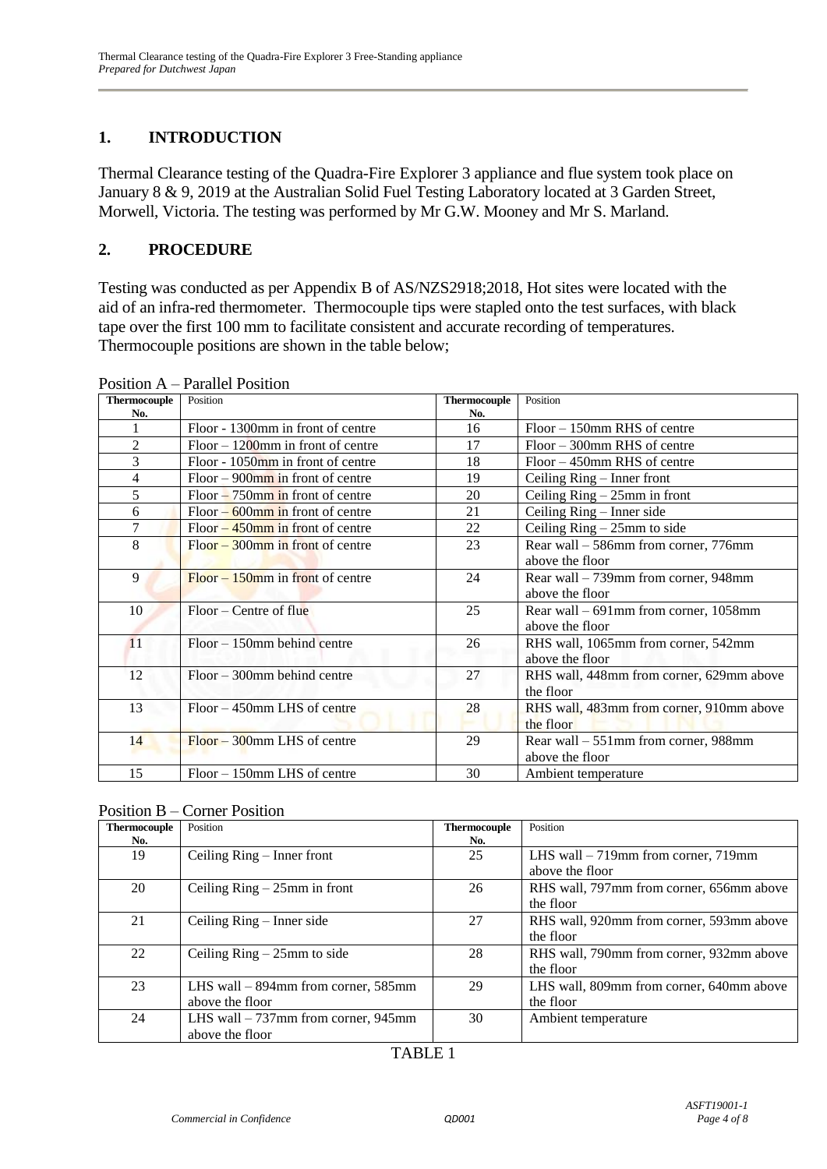# **1. INTRODUCTION**

Thermal Clearance testing of the Quadra-Fire Explorer 3 appliance and flue system took place on January 8 & 9, 2019 at the Australian Solid Fuel Testing Laboratory located at 3 Garden Street, Morwell, Victoria. The testing was performed by Mr G.W. Mooney and Mr S. Marland.

#### **2. PROCEDURE**

Testing was conducted as per Appendix B of AS/NZS2918;2018, Hot sites were located with the aid of an infra-red thermometer. Thermocouple tips were stapled onto the test surfaces, with black tape over the first 100 mm to facilitate consistent and accurate recording of temperatures. Thermocouple positions are shown in the table below;

| <b>Thermocouple</b> | Position                             | <b>Thermocouple</b> | Position                                 |
|---------------------|--------------------------------------|---------------------|------------------------------------------|
| No.                 |                                      | No.                 |                                          |
|                     | Floor - 1300mm in front of centre    | 16                  | $Floor - 150$ mm RHS of centre           |
| $\overline{c}$      | $Floor - 1200$ mm in front of centre | 17                  | $Floor - 300$ mm RHS of centre           |
| 3                   | Floor - $1050$ mm in front of centre | 18                  | $Floor - 450$ mm RHS of centre           |
| 4                   | $Floor - 900$ mm in front of centre  | 19                  | Ceiling Ring – Inner front               |
| 5                   | $Floor - 750$ mm in front of centre  | 20                  | Ceiling $Ring - 25mm$ in front           |
| 6                   | $Floor - 600$ mm in front of centre  | 21                  | Ceiling Ring – Inner side                |
| 7                   | Floor $-450$ mm in front of centre   | 22                  | Ceiling $Ring - 25mm$ to side            |
| 8                   | $Floor-300$ mm in front of centre    | 23                  | Rear wall – 586mm from corner, 776mm     |
|                     |                                      |                     | above the floor                          |
| 9                   | $Floor - 150$ mm in front of centre  | 24                  | Rear wall – 739mm from corner, 948mm     |
|                     |                                      |                     | above the floor                          |
| 10                  | $Floor - Centre of flu$              | 25                  | Rear wall $-691$ mm from corner, 1058 mm |
|                     |                                      |                     | above the floor                          |
| 11                  | $Floor - 150$ mm behind centre       | 26                  | RHS wall, 1065mm from corner, 542mm      |
|                     |                                      |                     | above the floor                          |
| 12                  | $Floor - 300$ mm behind centre       | 27                  | RHS wall, 448mm from corner, 629mm above |
|                     |                                      |                     | the floor                                |
| 13                  | $Floor - 450$ mm LHS of centre       | 28                  | RHS wall, 483mm from corner, 910mm above |
|                     |                                      |                     | the floor                                |
| 14                  | $Floor - 300$ mm LHS of centre       | 29                  | Rear wall – 551mm from corner, 988mm     |
|                     |                                      |                     | above the floor                          |
| 15                  | $Floor - 150$ mm LHS of centre       | 30                  | Ambient temperature                      |

Position A – Parallel Position

| <b>Thermocouple</b> | Position                              | <b>Thermocouple</b> | Position                                 |
|---------------------|---------------------------------------|---------------------|------------------------------------------|
| No.                 |                                       | No.                 |                                          |
| 19                  | Ceiling Ring – Inner front            | 25                  | LHS wall $-719$ mm from corner, $719$ mm |
|                     |                                       |                     | above the floor                          |
| 20                  | Ceiling $Ring - 25mm$ in front        | 26                  | RHS wall, 797mm from corner, 656mm above |
|                     |                                       |                     | the floor                                |
| 21                  | Ceiling $Ring - Inner side$           | 27                  | RHS wall, 920mm from corner, 593mm above |
|                     |                                       |                     | the floor                                |
| 22                  | Ceiling $Ring - 25mm$ to side         | 28                  | RHS wall, 790mm from corner, 932mm above |
|                     |                                       |                     | the floor                                |
| 23                  | LHS wall $-$ 894mm from corner, 585mm | 29                  | LHS wall, 809mm from corner, 640mm above |
|                     | above the floor                       |                     | the floor                                |
| 24                  | LHS wall $-737$ mm from corner, 945mm | 30                  | Ambient temperature                      |
|                     | above the floor                       |                     |                                          |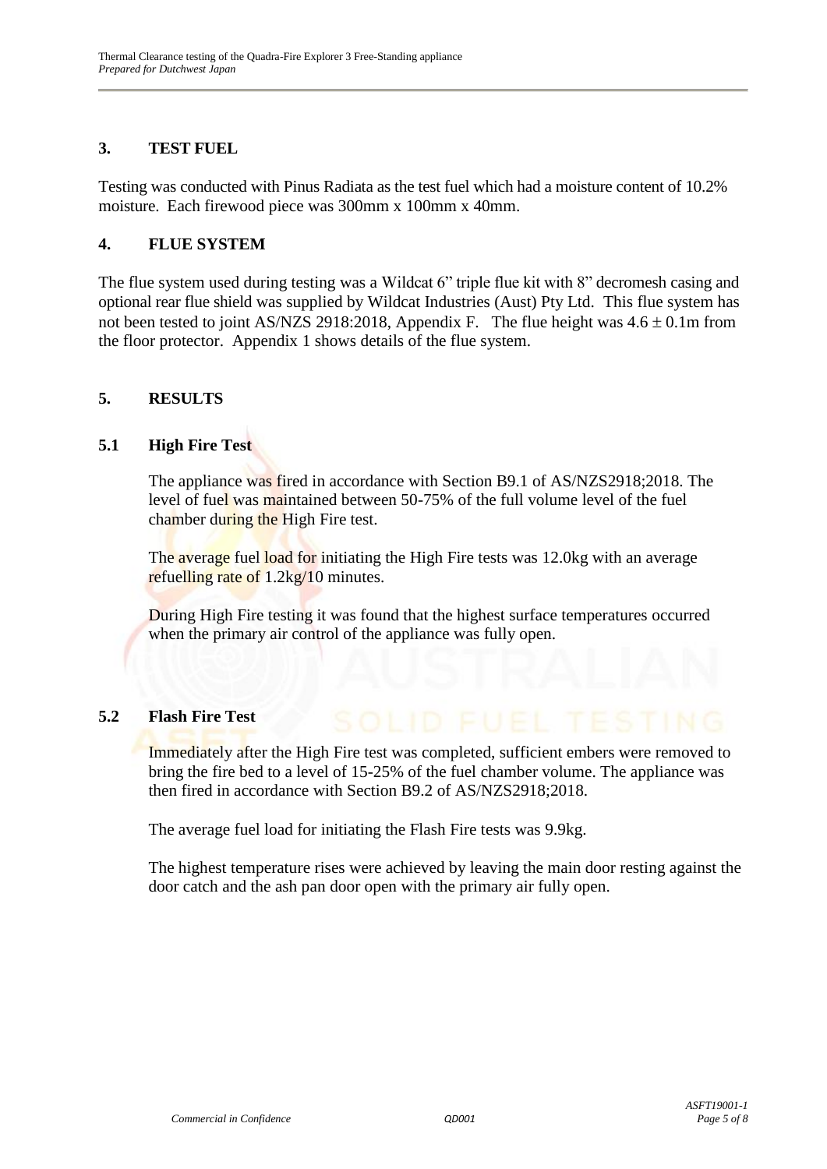#### **3. TEST FUEL**

Testing was conducted with Pinus Radiata as the test fuel which had a moisture content of 10.2% moisture. Each firewood piece was 300mm x 100mm x 40mm.

#### **4. FLUE SYSTEM**

The flue system used during testing was a Wildcat 6" triple flue kit with 8" decromesh casing and optional rear flue shield was supplied by Wildcat Industries (Aust) Pty Ltd. This flue system has not been tested to joint AS/NZS 2918:2018, Appendix F. The flue height was  $4.6 \pm 0.1$ m from the floor protector. Appendix 1 shows details of the flue system.

#### **5. RESULTS**

#### **5.1 High Fire Test**

The appliance was fired in accordance with Section B9.1 of AS/NZS2918;2018. The level of fuel was maintained between 50-75% of the full volume level of the fuel chamber during the High Fire test.

The average fuel load for initiating the High Fire tests was 12.0kg with an average refuelling rate of 1.2kg/10 minutes.

During High Fire testing it was found that the highest surface temperatures occurred when the primary air control of the appliance was fully open.

#### **5.2 Flash Fire Test**

Immediately after the High Fire test was completed, sufficient embers were removed to bring the fire bed to a level of 15-25% of the fuel chamber volume. The appliance was then fired in accordance with Section B9.2 of AS/NZS2918;2018.

The average fuel load for initiating the Flash Fire tests was 9.9kg.

The highest temperature rises were achieved by leaving the main door resting against the door catch and the ash pan door open with the primary air fully open.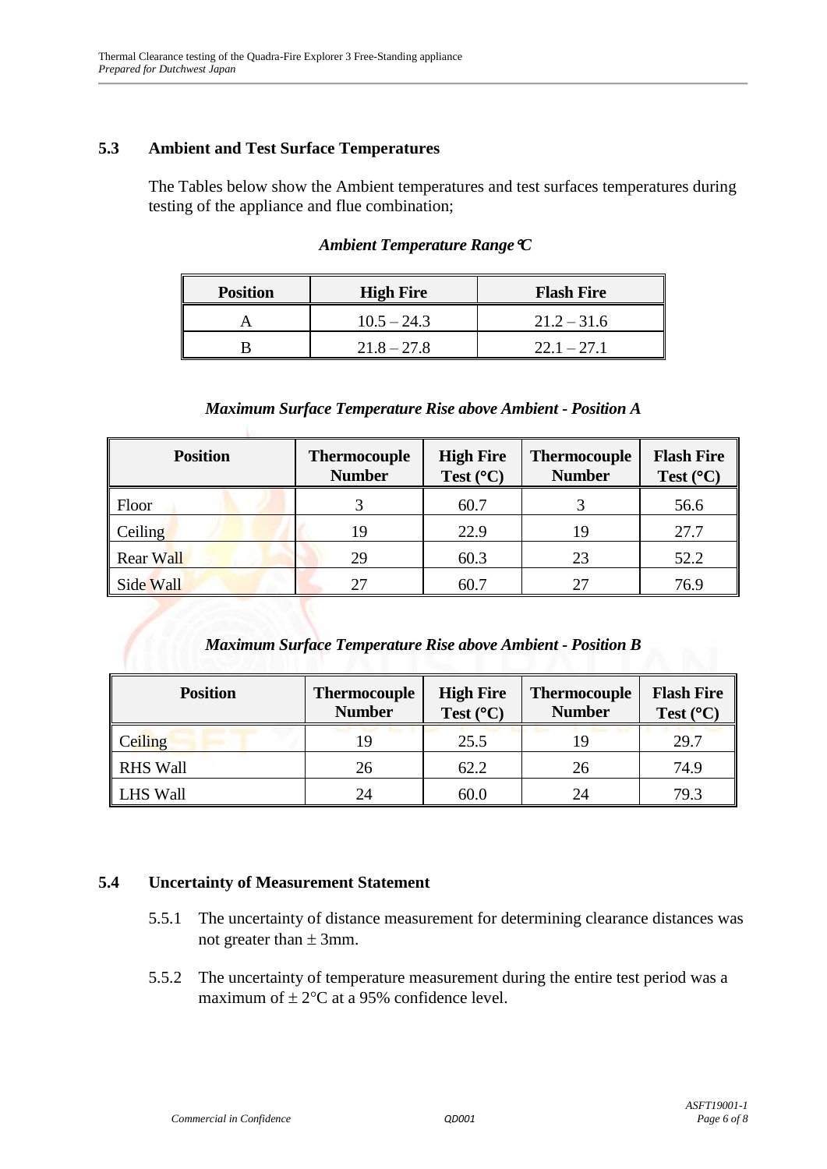#### **5.3 Ambient and Test Surface Temperatures**

The Tables below show the Ambient temperatures and test surfaces temperatures during testing of the appliance and flue combination;

| <b>Position</b> | <b>High Fire</b> | <b>Flash Fire</b> |
|-----------------|------------------|-------------------|
|                 | $10.5 - 24.3$    | $21.2 - 31.6$     |
|                 | $21.8 - 27.8$    | $22.1 - 27.1$     |

#### *Ambient Temperature RangeC*

#### *Maximum Surface Temperature Rise above Ambient - Position A*

| <b>Position</b>  | <b>Thermocouple</b><br><b>Number</b> | <b>High Fire</b><br>Test $(^{\circ}C)$ | <b>Thermocouple</b><br><b>Number</b> | <b>Flash Fire</b><br>Test $(^{\circ}C)$ |
|------------------|--------------------------------------|----------------------------------------|--------------------------------------|-----------------------------------------|
| Floor            |                                      | 60.7                                   |                                      | 56.6                                    |
| Ceiling          | 19                                   | 22.9                                   | 19                                   | 27.7                                    |
| <b>Rear Wall</b> | 29                                   | 60.3                                   | 23                                   | 52.2                                    |
| Side Wall        |                                      | 60.7                                   |                                      | 76.9                                    |

#### *Maximum Surface Temperature Rise above Ambient - Position B*

| <b>Position</b> | <b>Thermocouple</b><br><b>Number</b> | <b>High Fire</b><br>Test $(^{\circ}C)$ | <b>Thermocouple</b><br><b>Number</b> | <b>Flash Fire</b><br>Test $(^{\circ}C)$ |
|-----------------|--------------------------------------|----------------------------------------|--------------------------------------|-----------------------------------------|
| <b>Ceiling</b>  | 19                                   | 25.5                                   | 19                                   | 29.7                                    |
| <b>RHS Wall</b> | 26                                   | 62.2                                   | 26                                   | 74.9                                    |
| <b>LHS Wall</b> | 24                                   | 60.0                                   | 24                                   | 79.3                                    |

#### **5.4 Uncertainty of Measurement Statement**

- 5.5.1 The uncertainty of distance measurement for determining clearance distances was not greater than  $\pm$  3mm.
- 5.5.2 The uncertainty of temperature measurement during the entire test period was a maximum of  $\pm 2$ °C at a 95% confidence level.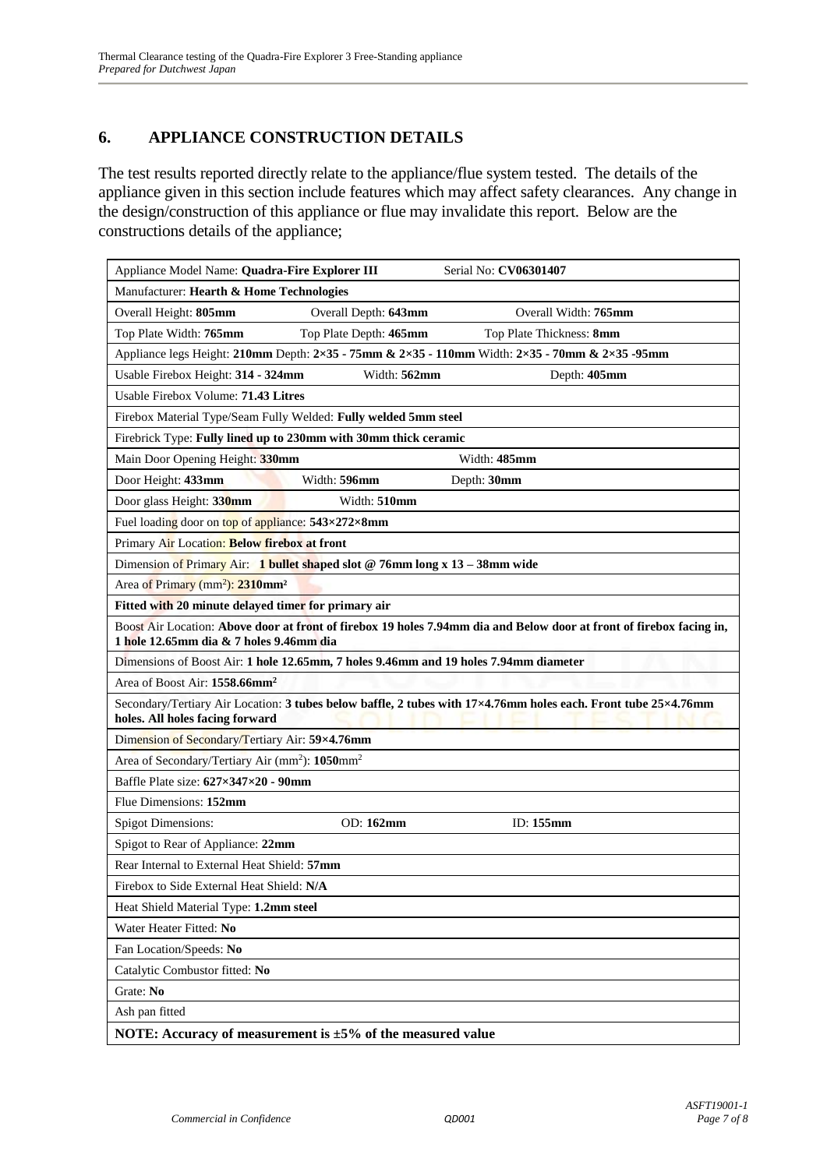# **6. APPLIANCE CONSTRUCTION DETAILS**

The test results reported directly relate to the appliance/flue system tested. The details of the appliance given in this section include features which may affect safety clearances. Any change in the design/construction of this appliance or flue may invalidate this report. Below are the constructions details of the appliance;

| Appliance Model Name: Quadra-Fire Explorer III                         |                                                                                      | Serial No: CV06301407                                                                                                      |
|------------------------------------------------------------------------|--------------------------------------------------------------------------------------|----------------------------------------------------------------------------------------------------------------------------|
| Manufacturer: Hearth & Home Technologies                               |                                                                                      |                                                                                                                            |
| Overall Height: 805mm                                                  | Overall Depth: 643mm                                                                 | Overall Width: 765mm                                                                                                       |
| Top Plate Width: 765mm                                                 | Top Plate Depth: 465mm                                                               | Top Plate Thickness: 8mm                                                                                                   |
|                                                                        |                                                                                      | Appliance legs Height: 210mm Depth: $2\times35$ - 75mm & $2\times35$ - 110mm Width: $2\times35$ - 70mm & $2\times35$ -95mm |
| Usable Firebox Height: 314 - 324mm                                     | Width: 562mm                                                                         | Depth: 405mm                                                                                                               |
| Usable Firebox Volume: 71.43 Litres                                    |                                                                                      |                                                                                                                            |
|                                                                        | Firebox Material Type/Seam Fully Welded: Fully welded 5mm steel                      |                                                                                                                            |
|                                                                        | Firebrick Type: Fully lined up to 230mm with 30mm thick ceramic                      |                                                                                                                            |
| Main Door Opening Height: 330mm                                        |                                                                                      | Width: 485mm                                                                                                               |
| Door Height: 433mm                                                     | Width: 596mm                                                                         | Depth: 30mm                                                                                                                |
| Door glass Height: 330mm                                               | Width: 510mm                                                                         |                                                                                                                            |
| Fuel loading door on top of appliance: 543×272×8mm                     |                                                                                      |                                                                                                                            |
| Primary Air Location: Below firebox at front                           |                                                                                      |                                                                                                                            |
|                                                                        | Dimension of Primary Air: 1 bullet shaped slot @ 76mm long x $13 - 38$ mm wide       |                                                                                                                            |
| Area of Primary (mm <sup>2</sup> ): 2310mm <sup>2</sup>                |                                                                                      |                                                                                                                            |
| Fitted with 20 minute delayed timer for primary air                    |                                                                                      |                                                                                                                            |
| 1 hole 12.65mm dia & 7 holes 9.46mm dia                                |                                                                                      | Boost Air Location: Above door at front of firebox 19 holes 7.94mm dia and Below door at front of firebox facing in,       |
|                                                                        | Dimensions of Boost Air: 1 hole 12.65mm, 7 holes 9.46mm and 19 holes 7.94mm diameter |                                                                                                                            |
| Area of Boost Air: 1558.66mm <sup>2</sup>                              |                                                                                      |                                                                                                                            |
| holes. All holes facing forward                                        |                                                                                      | Secondary/Tertiary Air Location: 3 tubes below baffle, 2 tubes with 17×4.76mm holes each. Front tube 25×4.76mm             |
| Dimension of Secondary/Tertiary Air: 59×4.76mm                         |                                                                                      |                                                                                                                            |
| Area of Secondary/Tertiary Air (mm <sup>2</sup> ): 1050mm <sup>2</sup> |                                                                                      |                                                                                                                            |
| Baffle Plate size: 627×347×20 - 90mm                                   |                                                                                      |                                                                                                                            |
| Flue Dimensions: 152mm                                                 |                                                                                      |                                                                                                                            |
| <b>Spigot Dimensions:</b>                                              | OD: 162mm                                                                            | ID: 155mm                                                                                                                  |
| Spigot to Rear of Appliance: 22mm                                      |                                                                                      |                                                                                                                            |
| Rear Internal to External Heat Shield: 57mm                            |                                                                                      |                                                                                                                            |
| Firebox to Side External Heat Shield: N/A                              |                                                                                      |                                                                                                                            |
| Heat Shield Material Type: 1.2mm steel                                 |                                                                                      |                                                                                                                            |
| Water Heater Fitted: No                                                |                                                                                      |                                                                                                                            |
| Fan Location/Speeds: No                                                |                                                                                      |                                                                                                                            |
| Catalytic Combustor fitted: No                                         |                                                                                      |                                                                                                                            |
| Grate: No                                                              |                                                                                      |                                                                                                                            |
| Ash pan fitted                                                         |                                                                                      |                                                                                                                            |
|                                                                        | NOTE: Accuracy of measurement is $\pm 5\%$ of the measured value                     |                                                                                                                            |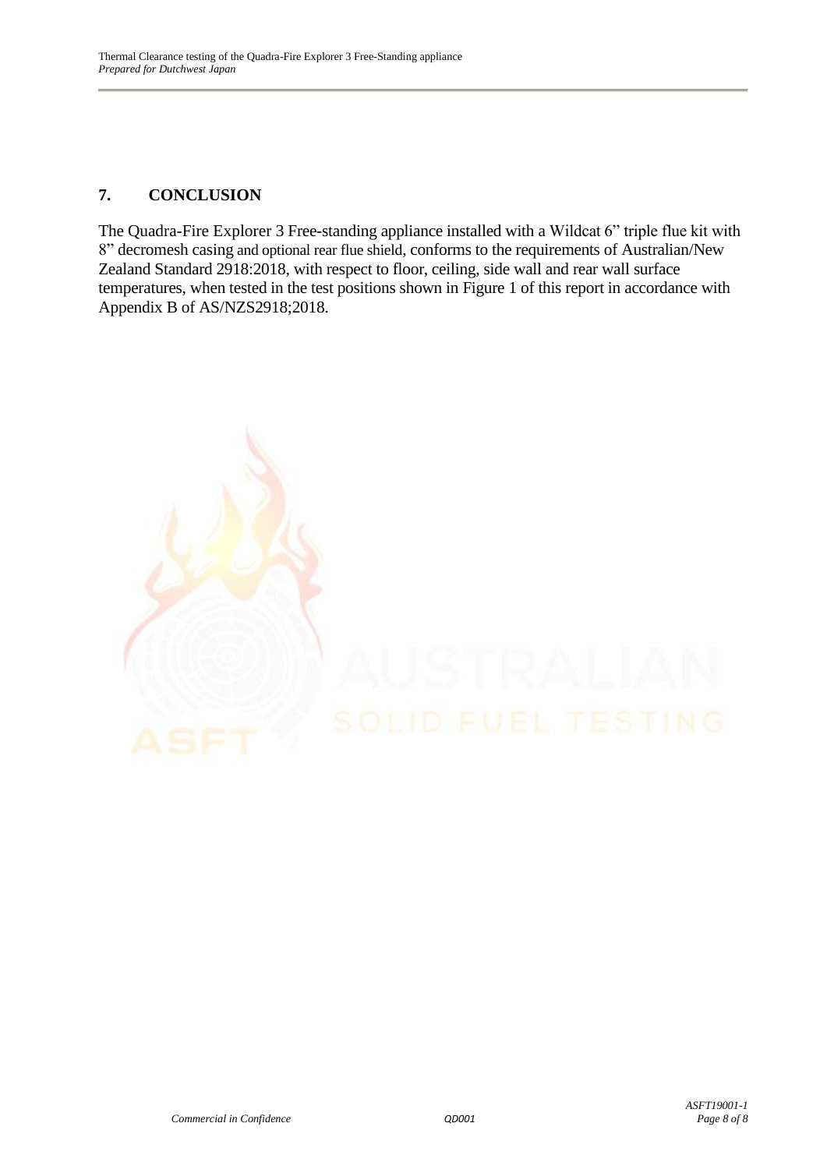### **7. CONCLUSION**

The Quadra-Fire Explorer 3 Free-standing appliance installed with a Wildcat 6" triple flue kit with 8" decromesh casing and optional rear flue shield, conforms to the requirements of Australian/New Zealand Standard 2918:2018, with respect to floor, ceiling, side wall and rear wall surface temperatures, when tested in the test positions shown in Figure 1 of this report in accordance with Appendix B of AS/NZS2918;2018.